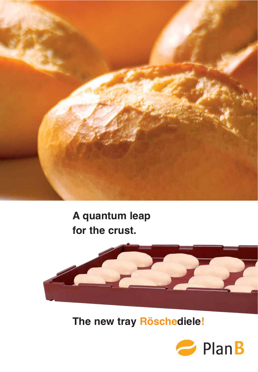

# A quantum leap for the crust.



The new tray Röschediele!

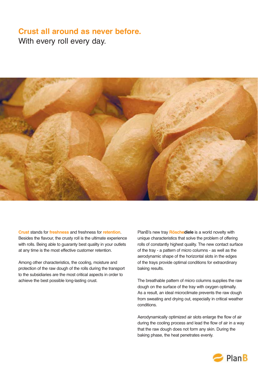# **Crust all around as never before.** With every roll every day.



**Crust** stands for **freshness** and freshness for **retention**. Besides the flavour, the crusty roll is the ultimate experience with rolls. Being able to guaranty best quality in your outlets at any time is the most effective customer retention.

Among other characteristics, the cooling, moisture and protection of the raw dough of the rolls during the transport to the subsidiaries are the most critical aspects in order to achieve the best possible long-lasting crust.

PlanB's new tray **Röschediele** is a world novelty with unique characteristics that solve the problem of offering rolls of constantly highest quality. The new contact surface of the tray - a pattern of micro columns - as well as the aerodynamic shape of the horizontal slots in the edges of the trays provide optimal conditions for extraordinary baking results.

The breathable pattern of micro columns supplies the raw dough on the surface of the tray with oxygen optimally. As a result, an ideal microclimate prevents the raw dough from sweating and drying out, especially in critical weather conditions.

Aerodynamically optimized air slots enlarge the flow of air during the cooling process and lead the flow of air in a way that the raw dough does not form any skin. During the baking phase, the heat penetrates evenly.

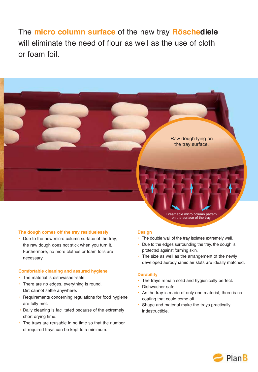The **micro column surface** of the new tray **Röschediele** will eliminate the need of flour as well as the use of cloth or foam foil.



• Due to the new micro column surface of the tray, the raw dough does not stick when you turn it. Furthermore, no more clothes or foam foils are necessary.

#### **Comfortable cleaning and assured hygiene**

- The material is dishwasher-safe.
- There are no edges, everything is round. Dirt cannot settle anywhere.
- Requirements concerning regulations for food hygiene are fully met.
- .• Daily cleaning is facilitated because of the extremely short drying time.
- The trays are reusable in no time so that the number of required trays can be kept to a minimum.

#### **Design**

- The double wall of the tray isolates extremely well.
- Due to the edges surrounding the tray, the dough is protected against forming skin.
- The size as well as the arrangement of the newly developed aerodynamic air slots are ideally matched.

Breathable micro column pattern on the surface of the tray.

Raw dough lying on the tray surface.

#### **Durability**

- The trays remain solid and hygienically perfect.
- Dishwasher-safe.
- As the tray is made of only one material, there is no coating that could come off.
- Shape and material make the trays practically indestructible.